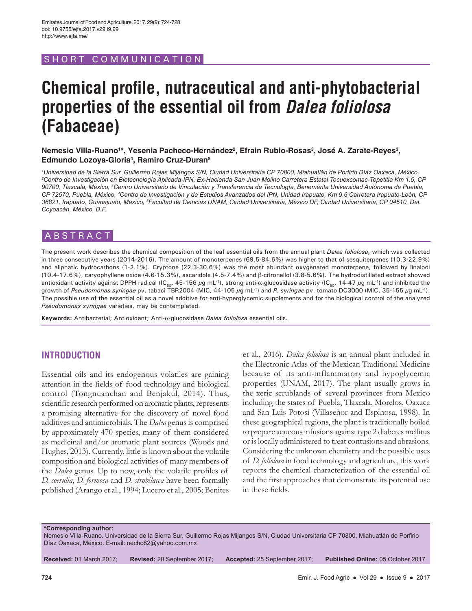# SHORT COMMUNICATION

# **Chemical profile, nutraceutical and anti-phytobacterial properties of the essential oil from** *Dalea foliolosa* **(Fabaceae)**

Nemesio Villa-Ruano<sup>1</sup>\*, Yesenia Pacheco-Hernández<sup>2</sup>, Efrain Rubio-Rosas<sup>3</sup>, José A. Zarate-Reyes<sup>3</sup>, **Edmundo Lozoya-Gloria4 , Ramiro Cruz-Duran5**

*1 Universidad de la Sierra Sur, Guillermo Rojas Mijangos S/N, Ciudad Universitaria CP 70800, Miahuatlán de Porfirio Díaz Oaxaca, México, 2 Centro de Investigación en Biotecnología Aplicada-IPN, Ex-Hacienda San Juan Molino Carretera Estatal Tecuexcomac-Tepetitla Km 1.5, CP 90700, Tlaxcala, México, <sup>3</sup> Centro Universitario de Vinculación y Transferencia de Tecnología, Benemérita Universidad Autónoma de Puebla, CP 72570, Puebla, México, <sup>4</sup> Centro de Investigación y de Estudios Avanzados del IPN, Unidad Irapuato, Km 9.6 Carretera Irapuato-León, CP 36821, Irapuato, Guanajuato, México, 5 Facultad de Ciencias UNAM, Ciudad Universitaria, México DF, Ciudad Universitaria, CP 04510, Del. Coyoacán, México, D.F.*

# ABSTRACT

The present work describes the chemical composition of the leaf essential oils from the annual plant *Dalea foliolosa,* which was collected in three consecutive years (2014-2016). The amount of monoterpenes (69.5-84.6%) was higher to that of sesquiterpenes (10.3-22.9%) and aliphatic hydrocarbons (1-2.1%). Cryptone (22.3-30.6%) was the most abundant oxygenated monoterpene, followed by linalool (10.4-17.6%), caryophyllene oxide (4.6-15.3%), ascaridole (4.5-7.4%) and β-citronellol (3.8-5.6%). The hydrodistillated extract showed antioxidant activity against DPPH radical (IC<sub>50</sub>, 45-156 μg mL<sup>-1</sup>), strong anti-α-glucosidase activity (IC<sub>50</sub>, 14-47 μg mL<sup>-1</sup>) and inhibited the growth of *Pseudomonas syringae* pv. tabaci TBR2004 (MIC, 44-105 µg mL-1) and *P. syringae* pv. tomato DC3000 (MIC, 35-155 µg mL-1). The possible use of the essential oil as a novel additive for anti-hyperglycemic supplements and for the biological control of the analyzed *Pseudomonas syringae* varieties, may be contemplated.

**Keywords:** Antibacterial; Antioxidant; Anti-α-glucosidase *Dalea foliolosa* essential oils.

# **INTRODUCTION**

Essential oils and its endogenous volatiles are gaining attention in the fields of food technology and biological control (Tongnuanchan and Benjakul, 2014). Thus, scientific research performed on aromatic plants, represents a promising alternative for the discovery of novel food additives and antimicrobials. The *Dalea* genus is comprised by approximately 470 species, many of them considered as medicinal and/or aromatic plant sources (Woods and Hughes, 2013). Currently, little is known about the volatile composition and biological activities of many members of the *Dalea* genus. Up to now, only the volatile profiles of *D. coerulia*, *D. formosa* and *D. strobilacea* have been formally published (Arango et al., 1994; Lucero et al., 2005; Benites et al., 2016). *Dalea foliolosa* is an annual plant included in the Electronic Atlas of the Mexican Traditional Medicine because of its anti-inflammatory and hypoglycemic properties (UNAM, 2017). The plant usually grows in the xeric scrublands of several provinces from Mexico including the states of Puebla, Tlaxcala, Morelos, Oaxaca and San Luis Potosí (Villaseñor and Espinosa, 1998). In these geographical regions, the plant is traditionally boiled to prepare aqueous infusions against type 2 diabetes mellitus or is locally administered to treat contusions and abrasions. Considering the unknown chemistry and the possible uses of *D. foliolosa* in food technology and agriculture, this work reports the chemical characterization of the essential oil and the first approaches that demonstrate its potential use in these fields.

**\*Corresponding author:**

Nemesio Villa-Ruano. Universidad de la Sierra Sur, Guillermo Rojas Mijangos S/N, Ciudad Universitaria CP 70800, Miahuatlán de Porfirio Díaz Oaxaca, México. E-mail: necho82@yahoo.com.mx

**Received:** 01 March 2017; **Revised:** 20 September 2017; **Accepted:** 25 September 2017; **Published Online:** 05 October 2017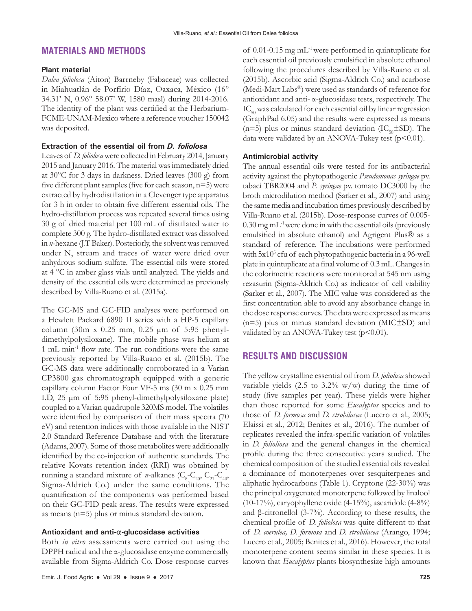# **MATERIALS AND METHODS**

#### **Plant material**

*Dalea foliolosa* (Aiton) Barrneby (Fabaceae) was collected in Miahuatlán de Porfírio Díaz, Oaxaca, México (16° 34.31' N, 0.96° 58.07' W, 1580 masl) during 2014-2016. The identity of the plant was certified at the Herbarium-FCME-UNAM-Mexico where a reference voucher 150042 was deposited.

### **Extraction of the essential oil from** *D. foliolosa*

Leaves of *D. foliolosa* were collected in February 2014, January 2015 and January 2016. The material was immediately dried at 30°C for 3 days in darkness. Dried leaves (300 g) from five different plant samples (five for each season, n=5) were extracted by hydrodistillation in a Clevenger type apparatus for 3 h in order to obtain five different essential oils. The hydro-distillation process was repeated several times using 30 g of dried material per 100 mL of distillated water to complete 300 g. The hydro-distillated extract was dissolved in *n*-hexane (J.T Baker). Posteriorly, the solvent was removed under  $N_2$  stream and traces of water were dried over anhydrous sodium sulfate. The essential oils were stored at 4 °C in amber glass vials until analyzed. The yields and density of the essential oils were determined as previously described by Villa-Ruano et al. (2015a).

The GC-MS and GC-FID analyses were performed on a Hewlett Packard 6890 II series with a HP-5 capillary column (30m x 0.25 mm, 0.25 µm of 5:95 phenyldimethylpolysiloxane). The mobile phase was helium at 1 mL min-1 flow rate. The run conditions were the same previously reported by Villa-Ruano et al. (2015b). The GC-MS data were additionally corroborated in a Varian CP3800 gas chromatograph equipped with a generic capillary column Factor Four VF-5 ms (30 m x 0.25 mm I.D, 25 µm of 5:95 phenyl-dimethylpolysiloxane plate) coupled to a Varian quadrupole 320MS model. The volatiles were identified by comparison of their mass spectra (70 eV) and retention indices with those available in the NIST 2.0 Standard Reference Database and with the literature (Adams, 2007). Some of those metabolites were additionally identified by the co-injection of authentic standards. The relative Kovats retention index (RRI) was obtained by running a standard mixture of *n*-alkanes ( $C_8$ - $C_{20}$ ,  $C_{21}$ - $C_{40}$ , Sigma-Aldrich Co.) under the same conditions. The quantification of the components was performed based on their GC-FID peak areas. The results were expressed as means (n=5) plus or minus standard deviation.

#### **Antioxidant and anti-**α**-glucosidase activities**

Both *in vitro* assessments were carried out using the DPPH radical and the α-glucosidase enzyme commercially available from Sigma-Aldrich Co. Dose response curves of 0.01-0.15 mg mL-1 were performed in quintuplicate for each essential oil previously emulsified in absolute ethanol following the procedures described by Villa-Ruano et al. (2015b). Ascorbic acid (Sigma-Aldrich Co.) and acarbose (Medi-Mart Labs®) were used as standards of reference for antioxidant and anti- α-glucosidase tests, respectively. The  $IC_{\rm so}$  was calculated for each essential oil by linear regression (GraphPad 6.05) and the results were expressed as means (n=5) plus or minus standard deviation ( $IC_{50} \pm SD$ ). The data were validated by an ANOVA-Tukey test  $(p<0.01)$ .

## **Antimicrobial activity**

The annual essential oils were tested for its antibacterial activity against the phytopathogenic *Pseudomonas syringae* pv. tabaci TBR2004 and *P. syringae* pv. tomato DC3000 by the broth microdilution method (Sarker et al., 2007) and using the same media and incubation times previously described by Villa-Ruano et al. (2015b). Dose-response curves of 0.005- 0.30 mg mL-1 were done in with the essential oils (previously emulsified in absolute ethanol) and Agrigent Plus® as a standard of reference. The incubations were performed with 5x10<sup>5</sup> cfu of each phytopathogenic bacteria in a 96-well plate in quintuplicate at a final volume of 0.3 mL. Changes in the colorimetric reactions were monitored at 545 nm using rezasurin (Sigma-Aldrich Co.) as indicator of cell viability (Sarker et al., 2007). The MIC value was considered as the first concentration able to avoid any absorbance change in the dose response curves. The data were expressed as means (n=5) plus or minus standard deviation (MIC±SD) and validated by an ANOVA-Tukey test  $(p<0.01)$ .

# **RESULTS AND DISCUSSION**

The yellow crystalline essential oil from *D. foliolosa* showed variable yields  $(2.5 \text{ to } 3.2\% \text{ w/w})$  during the time of study (five samples per year). These yields were higher than those reported for some *Eucalyptus* species and to those of *D. formosa* and *D. strobilacea* (Lucero et al., 2005; Elaissi et al., 2012; Benites et al., 2016). The number of replicates revealed the infra-specific variation of volatiles in *D. folioliosa* and the general changes in the chemical profile during the three consecutive years studied. The chemical composition of the studied essential oils revealed a dominance of monoterpenes over sesquiterpenes and aliphatic hydrocarbons (Table 1). Cryptone (22-30%) was the principal oxygenated monoterpene followed by linalool (10-17%), caryophyllene oxide  $(4-15%)$ , ascaridole  $(4-8%)$ and β-citronellol (3-7%). According to these results, the chemical profile of *D. foliolosa* was quite different to that of *D. coerulea, D. formosa* and *D. strobilacea* (Arango, 1994; Lucero et al., 2005; Benites et al., 2016). However, the total monoterpene content seems similar in these species. It is known that *Eucalyptus* plants biosynthesize high amounts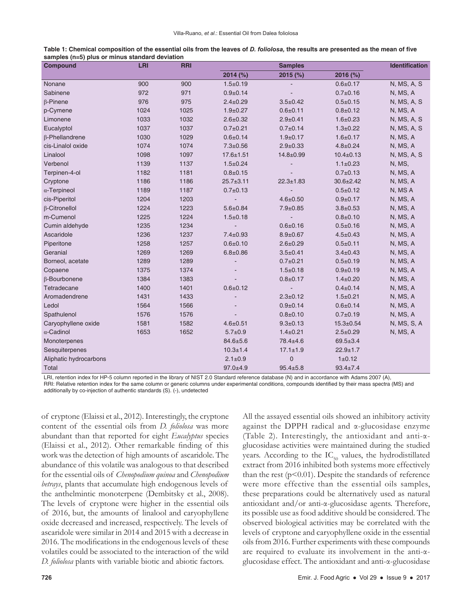| Table 1: Chemical composition of the essential oils from the leaves of D. foliolosa, the results are presented as the mean of five |  |  |
|------------------------------------------------------------------------------------------------------------------------------------|--|--|
| samples (n=5) plus or minus standard deviation                                                                                     |  |  |

| <b>Compound</b>        | <b>LRI</b> | <b>RRI</b> |                 | <b>Samples</b>  |                 | <b>Identification</b> |
|------------------------|------------|------------|-----------------|-----------------|-----------------|-----------------------|
|                        |            |            | 2014 (%)        | $2015$ (%)      | 2016 (%)        |                       |
| Nonane                 | 900        | 900        | $1.5 + 0.19$    |                 | $0.6 + 0.17$    | N, MS, A, S           |
| Sabinene               | 972        | 971        | $0.9 + 0.14$    |                 | $0.7 + 0.16$    | N, MS, A              |
| $\beta$ -Pinene        | 976        | 975        | $2.4 \pm 0.29$  | $3.5 \pm 0.42$  | $0.5 + 0.15$    | N, MS, A, S           |
| p-Cymene               | 1024       | 1025       | $1.9 + 0.27$    | $0.6 + 0.11$    | $0.8 + 0.12$    | N, MS, A              |
| Limonene               | 1033       | 1032       | $2.6 \pm 0.32$  | $2.9 + 0.41$    | $1.6 + 0.23$    | N, MS, A, S           |
| Eucalyptol             | 1037       | 1037       | $0.7 + 0.21$    | $0.7 + 0.14$    | $1.3 + 0.22$    | N, MS, A, S           |
| $\beta$ -Phellandrene  | 1030       | 1029       | $0.6 + 0.14$    | $1.9 + 0.17$    | $1.6 + 0.17$    | N, MS, A              |
| cis-Linalol oxide      | 1074       | 1074       | $7.3 \pm 0.56$  | $2.9 + 0.33$    | $4.8 \pm 0.24$  | N, MS, A              |
| Linalool               | 1098       | 1097       | $17.6 \pm 1.51$ | $14.8 \pm 0.99$ | $10.4 \pm 0.13$ | N, MS, A, S           |
| Verbenol               | 1139       | 1137       | $1.5 + 0.24$    |                 | $1.1 \pm 0.23$  | N, MS,                |
| Terpinen-4-ol          | 1182       | 1181       | $0.8 + 0.15$    |                 | $0.7 + 0.13$    | N, MS, A              |
| Cryptone               | 1186       | 1186       | $25.7 \pm 3.11$ | $22.3 \pm 1.83$ | $30.6 \pm 2.42$ | N, MS, A              |
| $\alpha$ -Terpineol    | 1189       | 1187       | $0.7 + 0.13$    |                 | $0.5 + 0.12$    | N, MS A               |
| cis-Piperitol          | 1204       | 1203       | $\overline{a}$  | $4.6 \pm 0.50$  | $0.9 + 0.17$    | N, MS, A              |
| $\beta$ -Citronellol   | 1224       | 1223       | $5.6 + 0.84$    | $7.9 + 0.85$    | $3.8 + 0.53$    | N, MS, A              |
| m-Cumenol              | 1225       | 1224       | $1.5 + 0.18$    |                 | $0.8 + 0.10$    | N, MS, A              |
| Cumin aldehyde         | 1235       | 1234       |                 | $0.6 + 0.16$    | $0.5 + 0.16$    | N, MS, A              |
| Ascaridole             | 1236       | 1237       | $7.4 \pm 0.93$  | $8.9 + 0.67$    | $4.5 \pm 0.43$  | N, MS, A              |
| Piperitone             | 1258       | 1257       | $0.6 + 0.10$    | $2.6 \pm 0.29$  | $0.5 + 0.11$    | N, MS, A              |
| Geranial               | 1269       | 1269       | $6.8 + 0.86$    | $3.5 \pm 0.41$  | $3.4 \pm 0.43$  | N, MS, A              |
| Borneol, acetate       | 1289       | 1289       | $\overline{a}$  | $0.7 + 0.21$    | $0.5 + 0.19$    | N, MS, A              |
| Copaene                | 1375       | 1374       |                 | $1.5 + 0.18$    | $0.9 + 0.19$    | N, MS, A              |
| β-Bourbonene           | 1384       | 1383       |                 | $0.8 + 0.17$    | $1.4 + 0.20$    | N, MS, A              |
| Tetradecane            | 1400       | 1401       | $0.6 + 0.12$    |                 | $0.4 \pm 0.14$  | N, MS, A              |
| Aromadendrene          | 1431       | 1433       |                 | $2.3 \pm 0.12$  | $1.5 + 0.21$    | N, MS, A              |
| Ledol                  | 1564       | 1566       |                 | $0.9 + 0.14$    | $0.6 + 0.14$    | N, MS, A              |
| Spathulenol            | 1576       | 1576       |                 | $0.8 + 0.10$    | $0.7 + 0.19$    | N, MS, A              |
| Caryophyllene oxide    | 1581       | 1582       | $4.6 \pm 0.51$  | $9.3 + 0.13$    | $15.3 \pm 0.54$ | N, MS, S, A           |
| $\alpha$ -Cadinol      | 1653       | 1652       | $5.7 + 0.9$     | $1.4 + 0.21$    | $2.5 \pm 0.29$  | N, MS, A              |
| Monoterpenes           |            |            | $84.6 \pm 5.6$  | 78.4±4.6        | $69.5 + 3.4$    |                       |
| Sesquiterpenes         |            |            | $10.3 \pm 1.4$  | $17.1 \pm 1.9$  | $22.9 \pm 1.7$  |                       |
| Aliphatic hydrocarbons |            |            | $2.1 \pm 0.9$   | $\overline{0}$  | 1 ± 0.12        |                       |
| Total                  |            |            | $97.0 + 4.9$    | $95.4 \pm 5.8$  | $93.4 \pm 7.4$  |                       |

LRI, retention index for HP-5 column reported in the library of NIST 2.0 Standard reference database (N) and in accordance with Adams 2007 (A), RRI: Relative retention index for the same column or generic columns under experimental conditions, compounds identified by their mass spectra (MS) and additionally by co-injection of authentic standards (S). (-), undetected

of cryptone (Elaissi et al., 2012). Interestingly, the cryptone content of the essential oils from *D. foliolosa* was more abundant than that reported for eight *Eucalyptus* species (Elaissi et al., 2012). Other remarkable finding of this work was the detection of high amounts of ascaridole. The abundance of this volatile was analogous to that described for the essential oils of *Chenopodium quinoa* and *Chenopodium betrays*, plants that accumulate high endogenous levels of the anthelmintic monoterpene (Dembitsky et al., 2008). The levels of cryptone were higher in the essential oils of 2016, but, the amounts of linalool and caryophyllene oxide decreased and increased, respectively. The levels of ascaridole were similar in 2014 and 2015 with a decrease in 2016. The modifications in the endogenous levels of these volatiles could be associated to the interaction of the wild *D. foliolosa* plants with variable biotic and abiotic factors.

All the assayed essential oils showed an inhibitory activity against the DPPH radical and α-glucosidase enzyme (Table 2). Interestingly, the antioxidant and anti-αglucosidase activities were maintained during the studied years. According to the  $IC_{50}$  values, the hydrodistillated extract from 2016 inhibited both systems more effectively than the rest ( $p<0.01$ ). Despite the standards of reference were more effective than the essential oils samples, these preparations could be alternatively used as natural antioxidant and/or anti-α-glucosidase agents. Therefore, its possible use as food additive should be considered. The observed biological activities may be correlated with the levels of cryptone and caryophyllene oxide in the essential oils from 2016. Further experiments with these compounds are required to evaluate its involvement in the anti-αglucosidase effect. The antioxidant and anti-α-glucosidase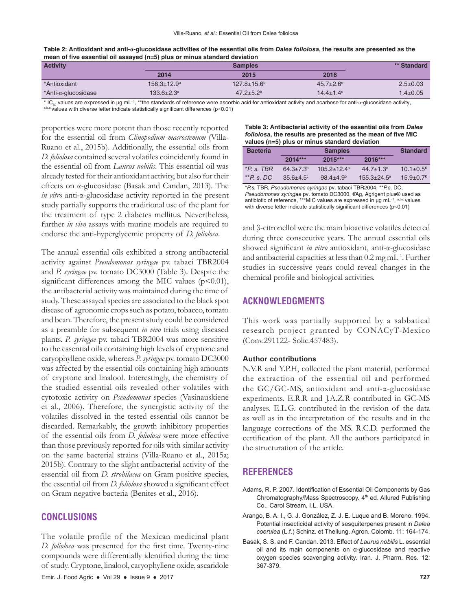| Table 2: Antioxidant and anti-a-glucosidase activities of the essential oils from Dalea foliolosa, the results are presented as the |
|-------------------------------------------------------------------------------------------------------------------------------------|
| mean of five essential oil assayed $(n=5)$ plus or minus standard deviation                                                         |

| <b>Activity</b>              | <b>Samples</b>              |                           |                      | ** Standard    |
|------------------------------|-----------------------------|---------------------------|----------------------|----------------|
|                              | 2014                        | 2015                      | 2016                 |                |
| *Antioxidant                 | $156.3 \pm 12.9^{\text{a}}$ | $127.8 \pm 15.6^{\circ}$  | $45.7 + 2.6^{\circ}$ | $2.5 \pm 0.03$ |
| *Anti- $\alpha$ -glucosidase | $133.6 + 2.3^a$             | $47.2 + 5.2$ <sup>b</sup> | $14.4 \pm 1.4$ °     | $1.4 \pm 0.05$ |

\* IC<sub>so</sub> values are expressed in µg mL<sup>-1</sup>, \*\*the standards of reference were ascorbic acid for antioxidant activity and acarbose for anti-α-glucosidase activity,<br><sup>abc</sup>values with diverse letter indicate statistically sign

properties were more potent than those recently reported for the essential oil from *Clinopodium macrostemum* (Villa-Ruano et al., 2015b). Additionally, the essential oils from *D. foliolosa* contained several volatiles coincidently found in the essential oil from *Laurus nobilis*. This essential oil was already tested for their antioxidant activity, but also for their effects on α-glucosidase (Basak and Candan, 2013). The *in vitro* anti-α-glucosidase activity reported in the present study partially supports the traditional use of the plant for the treatment of type 2 diabetes mellitus. Nevertheless, further *in vivo* assays with murine models are required to endorse the anti-hyperglycemic property of *D. foliolosa*.

The annual essential oils exhibited a strong antibacterial activity against *Pseudomonas syringae* pv. tabaci TBR2004 and *P. syringae* pv. tomato DC3000 (Table 3). Despite the significant differences among the MIC values  $(p<0.01)$ , the antibacterial activity was maintained during the time of study. These assayed species are associated to the black spot disease of agronomic crops such as potato, tobacco, tomato and bean. Therefore, the present study could be considered as a preamble for subsequent *in vivo* trials using diseased plants. *P. syringae* pv. tabaci TBR2004 was more sensitive to the essential oils containing high levels of cryptone and caryophyllene oxide, whereas *P. syringae* pv. tomato DC3000 was affected by the essential oils containing high amounts of cryptone and linalool. Interestingly, the chemistry of the studied essential oils revealed other volatiles with cytotoxic activity on *Pseudomonas* species (Vasinauskiene et al., 2006). Therefore, the synergistic activity of the volatiles dissolved in the tested essential oils cannot be discarded. Remarkably, the growth inhibitory properties of the essential oils from *D. foliolosa* were more effective than those previously reported for oils with similar activity on the same bacterial strains (Villa-Ruano et al., 2015a; 2015b). Contrary to the slight antibacterial activity of the essential oil from *D. strobilacea* on Gram positive species, the essential oil from *D. foliolosa* showed a significant effect on Gram negative bacteria (Benites et al., 2016).

## **CONCLUSIONS**

The volatile profile of the Mexican medicinal plant *D. foliolosa* was presented for the first time. Twenty-nine compounds were differentially identified during the time of study. Cryptone, linalool, caryophyllene oxide, ascaridole **Table 3: Antibacterial activity of the essential oils from** *Dalea foliolosa***, the results are presented as the mean of five MIC values (n=5) plus or minus standard deviation**

| <b>Bacteria</b> | <b>Samples</b>       |                             |                      | <b>Standard</b>             |
|-----------------|----------------------|-----------------------------|----------------------|-----------------------------|
|                 | $2014***$            | $2015***$                   | 2016***              |                             |
| $*P$ s TBR      | $64.3 + 7.3b$        | $105.2 + 12.4$ <sup>a</sup> | $44.7 + 1.3^{\circ}$ | $10.1 \pm 0.5$ <sup>€</sup> |
| $*$ Ps.DC       | $35.6 + 4.5^{\circ}$ | $98.4 + 4.9b$               | $155.3 + 24.5^a$     | $15.9+0.7$ <sup>€</sup>     |

\**P.s.* TBR, *Pseudomonas syringae* pv. tabaci TBR2004, \*\**P.s*. DC, *Pseudomonas syringae* pv. tomato DC3000, *€*Ag, Agrigent plus® used as antibiotic of reference, \*\*\*MIC values are expressed in µg mL<sup>-1</sup>, <sup>a,b,c</sup> values with diverse letter indicate statistically significant differences (p<0.01)

and β-citronellol were the main bioactive volatiles detected during three consecutive years. The annual essential oils showed significant *in vitro* antioxidant, anti-α-glucosidase and antibacterial capacities at less than 0.2 mg mL-1. Further studies in successive years could reveal changes in the chemical profile and biological activities.

## **ACKNOWLEDGMENTS**

This work was partially supported by a sabbatical research project granted by CONACyT-Mexico (Conv.291122- Solic.457483).

#### **Author contributions**

N.V.R and Y.P.H, collected the plant material, performed the extraction of the essential oil and performed the GC/GC-MS, antioxidant and anti-α-glucosidase experiments. E.R.R and J.A.Z.R contributed in GC-MS analyses. E.L.G. contributed in the revision of the data as well as in the interpretation of the results and in the language corrections of the MS. R.C.D. performed the certification of the plant. All the authors participated in the structuration of the article.

## **REFERENCES**

- Adams, R. P. 2007. Identification of Essential Oil Components by Gas Chromatography/Mass Spectroscopy. 4<sup>th</sup> ed. Allured Publishing Co., Carol Stream, I.L, USA.
- Arango, B. A. I., G. J. González, Z. J. E. Luque and B. Moreno. 1994. Potential insecticidal activity of sesquiterpenes present in *Dalea coerulea* (L.f.) Schinz. et Thellung. Agron. Colomb. 11: 164-174.
- Basak, S. S. and F. Candan. 2013. Effect of *Laurus nobilis* L. essential oil and its main components on α-glucosidase and reactive oxygen species scavenging activity. Iran. J. Pharm. Res. 12: 367-379.